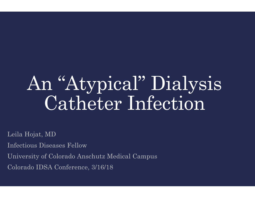# An "Atypical" Dialysis Catheter Infection

Leila Hojat, MD

Infectious Diseases Fellow

University of Colorado Anschutz Medical Campus

Colorado IDSA Conference, 3/16/18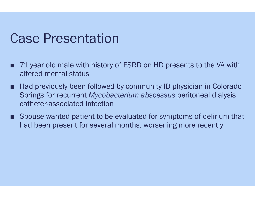### Case Presentation

- 71 year old male with history of ESRD on HD presents to the VA with altered mental status
- Had previously been followed by community ID physician in Colorado Springs for recurrent *Mycobacterium abscessus* peritoneal dialysis catheter-associated infection
- Spouse wanted patient to be evaluated for symptoms of delirium that had been present for several months, worsening more recently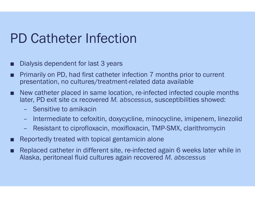### PD Catheter Infection

- Dialysis dependent for last 3 years
- Primarily on PD, had first catheter infection 7 months prior to current presentation, no cultures/treatment-related data available
- New catheter placed in same location, re-infected infected couple months later, PD exit site cx recovered *M. abscessus,* susceptibilities showed:
	- Sensitive to amikacin
	- Intermediate to cefoxitin, doxycycline, minocycline, imipenem, linezolid
	- Resistant to ciprofloxacin, moxifloxacin, TMP-SMX, clarithromycin
- Reportedly treated with topical gentamicin alone
- Replaced catheter in different site, re-infected again 6 weeks later while in Alaska, peritoneal fluid cultures again recovered *M. abscessus*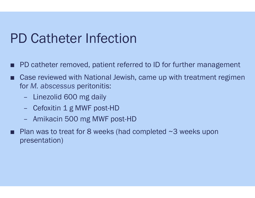### PD Catheter Infection

- PD catheter removed, patient referred to ID for further management
- Case reviewed with National Jewish, came up with treatment regimen for *M. abscessus* peritonitis:
	- Linezolid 600 mg daily
	- Cefoxitin 1 g MWF post-HD
	- Amikacin 500 mg MWF post-HD
- Plan was to treat for 8 weeks (had completed  $\sim$ 3 weeks upon presentation)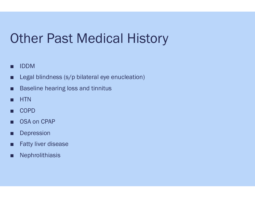### Other Past Medical History

- IDDM
- Legal blindness (s/p bilateral eye enucleation)
- Baseline hearing loss and tinnitus
- HTN
- COPD
- OSA on CPAP
- Depression
- Fatty liver disease
- Nephrolithiasis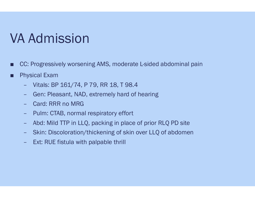## VA Admission

- CC: Progressively worsening AMS, moderate L-sided abdominal pain
- Physical Exam
	- Vitals: BP 161/74, P 79, RR 18, T 98.4
	- Gen: Pleasant, NAD, extremely hard of hearing
	- Card: RRR no MRG
	- Pulm: CTAB, normal respiratory effort
	- Abd: Mild TTP in LLQ, packing in place of prior RLQ PD site
	- Skin: Discoloration/thickening of skin over LLQ of abdomen
	- Ext: RUE fistula with palpable thrill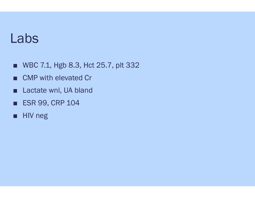### Labs

- WBC 7.1, Hgb 8.3, Hct 25.7, plt 332
- CMP with elevated Cr
- Lactate wnl, UA bland
- ESR 99, CRP 104
- HIV neg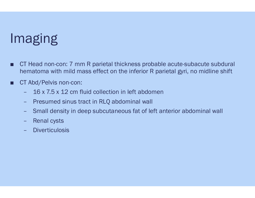# Imaging

- CT Head non-con: 7 mm R parietal thickness probable acute-subacute subdural hematoma with mild mass effect on the inferior R parietal gyri, no midline shift
- CT Abd/Pelvis non-con:
	- 16 x 7.5 x 12 cm fluid collection in left abdomen
	- Presumed sinus tract in RLQ abdominal wall
	- Small density in deep subcutaneous fat of left anterior abdominal wall
	- Renal cysts
	- **Diverticulosis**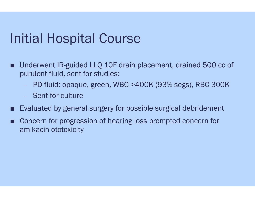### Initial Hospital Course

- Underwent IR-guided LLQ 10F drain placement, drained 500 cc of purulent fluid, sent for studies:
	- PD fluid: opaque, green, WBC >400K (93% segs), RBC 300K
	- Sent for culture
- Evaluated by general surgery for possible surgical debridement
- Concern for progression of hearing loss prompted concern for amikacin ototoxicity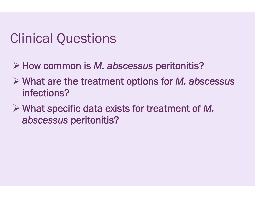## Clinical Questions

- !How common is *M. abscessus* peritonitis?
- ! What are the treatment options for *M. abscessus*  infections?
- ! What specific data exists for treatment of *M. abscessus* peritonitis?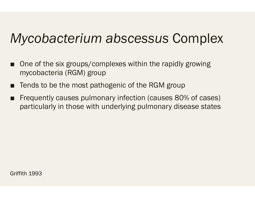## *Mycobacterium abscessus* Complex

- One of the six groups/complexes within the rapidly growing mycobacteria (RGM) group
- Tends to be the most pathogenic of the RGM group
- Frequently causes pulmonary infection (causes 80% of cases) particularly in those with underlying pulmonary disease states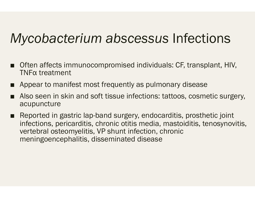### *Mycobacterium abscessus* Infections

- Often affects immunocompromised individuals: CF, transplant, HIV, TNFα treatment
- Appear to manifest most frequently as pulmonary disease
- Also seen in skin and soft tissue infections: tattoos, cosmetic surgery, acupuncture
- Reported in gastric lap-band surgery, endocarditis, prosthetic joint infections, pericarditis, chronic otitis media, mastoiditis, tenosynovitis, vertebral osteomyelitis, VP shunt infection, chronic meningoencephalitis, disseminated disease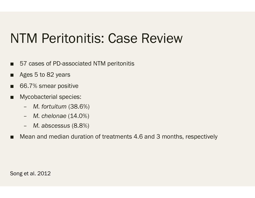### NTM Peritonitis: Case Review

- 57 cases of PD-associated NTM peritonitis
- Ages 5 to 82 years
- 66.7% smear positive
- Mycobacterial species:
	- *M. fortuitum* (38.6%)
	- *M. chelonae* (14.0%)
	- *M. abscessus* (8.8%)
- Mean and median duration of treatments 4.6 and 3 months, respectively

Song et al. 2012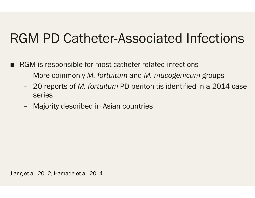### RGM PD Catheter-Associated Infections

- RGM is responsible for most catheter-related infections
	- More commonly *M. fortuitum* and *M. mucogenicum* groups
	- 20 reports of *M. fortuitum* PD peritonitis identified in a 2014 case series
	- Majority described in Asian countries

Jiang et al. 2012, Hamade et al. 2014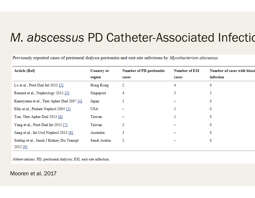### M. abscessus PD Catheter-Associated Infection

Previously reported cases of peritoneal dialysis peritonitis and exit-site infections by Mycobacterium abscessus.

| Article (Ref)                                          | <b>Country or</b><br>region | <b>Number of PD-peritonitis</b><br>cases | <b>Number of ESI</b><br>cases | Number of cases with blood<br>infection |
|--------------------------------------------------------|-----------------------------|------------------------------------------|-------------------------------|-----------------------------------------|
| Lo et al., Perit Dial Int 2013 [2]                     | Hong Kong                   | 2                                        | 4                             | 0                                       |
| Renaud et al., Nephrology 2011 [3]                     | Singapore                   | 4                                        | 3                             |                                         |
| Kameyama et al., Ther Apher Dial 2007 [4]              | Japan                       |                                          |                               | 0                                       |
| Ellis et al., Pediatr Nephrol 2005 [5]                 | USA                         |                                          |                               | 0                                       |
| Tsai, Ther Apher Dial 2013 [6]                         | Taiwan                      |                                          |                               | 0                                       |
| Yang et al., Perit Dial Int 2015 [7]                   | Taiwan                      | 2                                        |                               | 0                                       |
| Jiang et al., Int Urol Nephrol 2013 [8]                | Australia                   | 3                                        |                               | 0                                       |
| Siddiqi et al., Saudi J Kidney Dis Transpl<br>2012 [9] | Saudi Arabia                | 2                                        |                               | 0                                       |

Abbreviations: PD, peritoneal dialysis; ESI, exit-site infection.

#### Mooren et al. 2017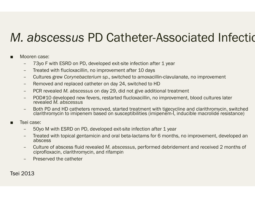### *M. abscessus PD Catheter-Associated Infection*

- Mooren case:
	- 73yo F with ESRD on PD, developed exit-site infection after 1 year
	- Treated with flucloxacillin, no improvement after 10 days
	- Cultures grew *Corynebacterium sp.*, switched to amoxacillin-clavulanate, no improvement
	- Removed and replaced catheter on day 24, switched to HD
	- PCR revealed *M. abscessus* on day 29, did not give additional treatment
	- POD#10 developed new fevers, restarted flucloxacillin, no improvement, blood cultures later revealed *M. abscessus*
	- Both PD and HD catheters removed, started treatment with tigecycline and clarithromycin, switched clarithromycin to imipenem based on susceptibilities (imipenem-I, inducible macrolide resistance)
- Tsei case:
	- 50yo M with ESRD on PD, developed exit-site infection after 1 year
	- Treated with topical gentamicin and oral beta-lactams for 6 months, no improvement, developed an abscess
	- Culture of abscess fluid revealed *M. abscessus*, performed debridement and received 2 months of ciprofloxacin, clarithromycin, and rifampin
	- Preserved the catheter

Tsei 2013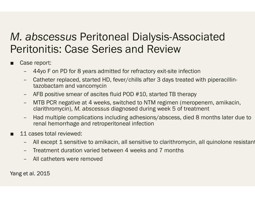### *M. abscessus* Peritoneal Dialysis-Associated Peritonitis: Case Series and Review

- Case report:
	- 44yo F on PD for 8 years admitted for refractory exit-site infection
	- Catheter replaced, started HD, fever/chills after 3 days treated with piperacillintazobactam and vancomycin
	- AFB positive smear of ascites fluid POD #10, started TB therapy
	- MTB PCR negative at 4 weeks, switched to NTM regimen (meropenem, amikacin, clarithromycin), *M. abscessus* diagnosed during week 5 of treatment
	- Had multiple complications including adhesions/abscess, died 8 months later due to renal hemorrhage and retroperitoneal infection
- 11 cases total reviewed:
	- All except 1 sensitive to amikacin, all sensitive to clarithromycin, all quinolone resistant
	- Treatment duration varied between 4 weeks and 7 months
	- All catheters were removed

Yang et al. 2015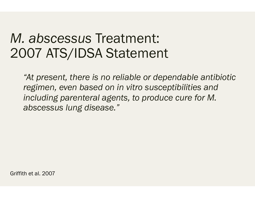### *M. abscessus* Treatment: 2007 ATS/IDSA Statement

*"At present, there is no reliable or dependable antibiotic regimen, even based on in vitro susceptibilities and including parenteral agents, to produce cure for M. abscessus lung disease."* 

Griffith et al. 2007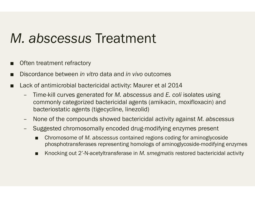### *M. abscessus* Treatment

- Often treatment refractory
- Discordance between *in vitro* data and *in vivo* outcomes
- Lack of antimicrobial bactericidal activity: Maurer et al 2014
	- Time-kill curves generated for *M. abscessus* and *E. coli* isolates using commonly categorized bactericidal agents (amikacin, moxifloxacin) and bacteriostatic agents (tigecycline, linezolid)
	- None of the compounds showed bactericidal activity against *M. abscessus*
	- Suggested chromosomally encoded drug-modifying enzymes present
		- Chromosome of *M. abscessus* contained regions coding for aminoglycoside phosphotransferases representing homologs of aminoglycoside-modifying enzymes
		- Knocking out 2<sup>'</sup>-N-acetyltransferase in *M. smegmatis* restored bactericidal activity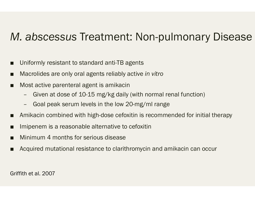### *M. abscessus* Treatment: Non-pulmonary Disease

- Uniformly resistant to standard anti-TB agents
- Macrolides are only oral agents reliably active *in vitro*
- Most active parenteral agent is amikacin
	- Given at dose of 10-15 mg/kg daily (with normal renal function)
	- Goal peak serum levels in the low 20-mg/ml range
- Amikacin combined with high-dose cefoxitin is recommended for initial therapy
- Imipenem is a reasonable alternative to cefoxitin
- Minimum 4 months for serious disease
- Acquired mutational resistance to clarithromycin and amikacin can occur

Griffith et al. 2007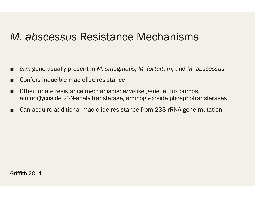### *M. abscessus* Resistance Mechanisms

- *erm* gene usually present in *M. smegmatis, M. fortuitum,* and *M. abscessus*
- Confers inducible macrolide resistance
- Other innate resistance mechanisms: *erm*-like gene, efflux pumps, aminoglycoside 2'-N-acetyltransferase, aminoglycoside phosphotransferases
- Can acquire additional macrolide resistance from 23S rRNA gene mutation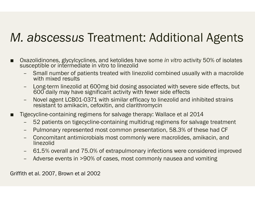### *M. abscessus* Treatment: Additional Agents

- Oxazolidinones, glycylcyclines, and ketolides have some *in vitro* activity 50% of isolates susceptible or intermediate in vitro to linezolid
	- Small number of patients treated with linezolid combined usually with a macrolide with mixed results
	- Long-term linezolid at 600mg bid dosing associated with severe side effects, but 600 daily may have significant activity with fewer side effects
	- Novel agent LCB01-0371 with similar efficacy to linezolid and inhibited strains resistant to amikacin, cefoxitin, and clarithromycin
- Tigecycline-containing regimens for salvage therapy: Wallace et al 2014
	- 52 patients on tigecycline-containing multidrug regimens for salvage treatment
	- Pulmonary represented most common presentation, 58.3% of these had CF
	- Concomitant antimicrobials most commonly were macrolides, amikacin, and linezolid
	- 61.5% overall and 75.0% of extrapulmonary infections were considered improved
	- Adverse events in >90% of cases, most commonly nausea and vomiting

Griffith et al. 2007, Brown et al 2002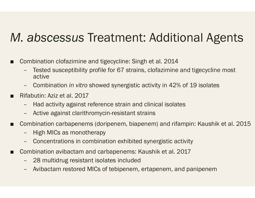### *M. abscessus* Treatment: Additional Agents

- Combination clofazimine and tigecycline: Singh et al. 2014
	- Tested susceptibility profile for 67 strains, clofazimine and tigecycline most active
	- Combination *in vitro* showed synergistic activity in 42% of 19 isolates
- Rifabutin: Aziz et al. 2017
	- Had activity against reference strain and clinical isolates
	- Active against clarithromycin-resistant strains
- Combination carbapenems (doripenem, biapenem) and rifampin: Kaushik et al. 2015
	- High MICs as monotherapy
	- Concentrations in combination exhibited synergistic activity
- Combination avibactam and carbapenems: Kaushik et al. 2017
	- 28 multidrug resistant isolates included
	- Avibactam restored MICs of tebipenem, ertapenem, and panipenem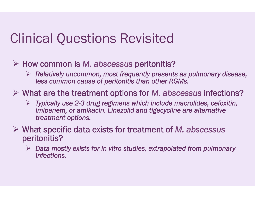### Clinical Questions Revisited

- ! How common is *M. abscessus* peritonitis?
	- ! *Relatively uncommon, most frequently presents as pulmonary disease, less common cause of peritonitis than other RGMs.*
- ! What are the treatment options for *M. abscessus* infections?
	- ! *Typically use 2-3 drug regimens which include macrolides, cefoxitin, imipenem, or amikacin. Linezolid and tigecycline are alternative treatment options.*
- ! What specific data exists for treatment of *M. abscessus* peritonitis?
	- ! *Data mostly exists for in vitro studies, extrapolated from pulmonary infections.*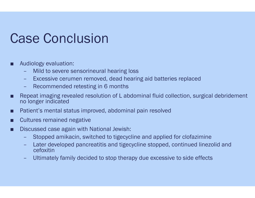### Case Conclusion

#### Audiology evaluation:

- Mild to severe sensorineural hearing loss
- Excessive cerumen removed, dead hearing aid batteries replaced
- Recommended retesting in 6 months
- Repeat imaging revealed resolution of L abdominal fluid collection, surgical debridement no longer indicated
- Patient's mental status improved, abdominal pain resolved
- Cultures remained negative
- Discussed case again with National Jewish:
	- Stopped amikacin, switched to tigecycline and applied for clofazimine
	- Later developed pancreatitis and tigecycline stopped, continued linezolid and cefoxitin
	- Ultimately family decided to stop therapy due excessive to side effects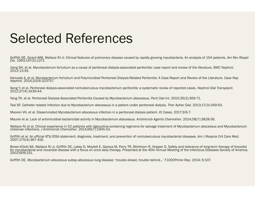### Selected References

Griffith DE, Girard WM, Wallace RJ Jr. Clinical features of pulmonary disease caused by rapidly growing mycobacteria. An analysis of 154 patients. *Am Rev Respir Dis*. 1993;147(5):1271.

Jiang SH, et al. Mycobacterium fortuitum as a cause of peritoneal dialysis-associated peritonitis: case report and review of the literature. *BMC Nephrol*. 2012;13:35.

Hamade A, et al. Mycobacterium fortuitum and Polymicrobial Peritoneal Dialysis-Related Peritonitis: A Case Report and Review of the Literature. *Case Rep*<br>Nephrol. 2014:2014:323757.

Song Y, et al. Peritoneal dialysis-associated nontuberculous mycobacterium peritonitis: a systematic review of reported cases. *Nephrol Dial Transplant*. 2012;27(4):1639-44.

Yang TK, et al. Peritoneal Dialysis-Associated Peritonitis Caused by Mycobacterium abscessus. *Perit Dial Int*. 2015;35(3):369-71.

Tsai SF. Catheter related infection due to Mycobacterium abscessus in a patient under peritoneal dialysis. *Ther Apher Dial*. 2013;17(3):349-50.

Mooren VH, et al. Disseminated *Mycobacterium abscessus* infection in a peritoneal dialysis patient. *ID Cases.* 2017;9:6-7.

Maurer et al. Lack of antimicrobial bactericidal activity in Mycobacterium abscessus. *Antimicrob Agents Chemother*. 2014;58(7):3828-36.

Wallace RJ et al. Clinical experience in 52 patients with tigecycline-containing regimens for salvage treatment of Mycobacterium abscessus and Mycobacterium chelonae infections. *J Antimicrob Chemother*. 2014;69(7):1945-53.

Griffith et al. An official ATS/IDSA statement: diagnosis, treatment, and prevention of nontuberculous mycobacterial diseases. *Am J Respira Crit Care Med*. 2007;175(4):367-416.

Brown-Elliott BA, Wallace RJ Jr, Griffith DE, Lakey D, Moylett E, Gareca M, Perry TR, Blinkhorn R, Hopper D. Safety and tolerance of long-term therapy of linezolid for mycobacterial and nocardial disease with a focus on once daily therapy. Presented at the 40th Annual Meeting of the Infectious Diseases Society of America. 2002;609:151.

Griffith DE. *Mycobacterium abscessus* subsp *abscessus* lung disease: 'trouble ahead, trouble behind…' *F1000Prime Rep*. 2014; 6:107.